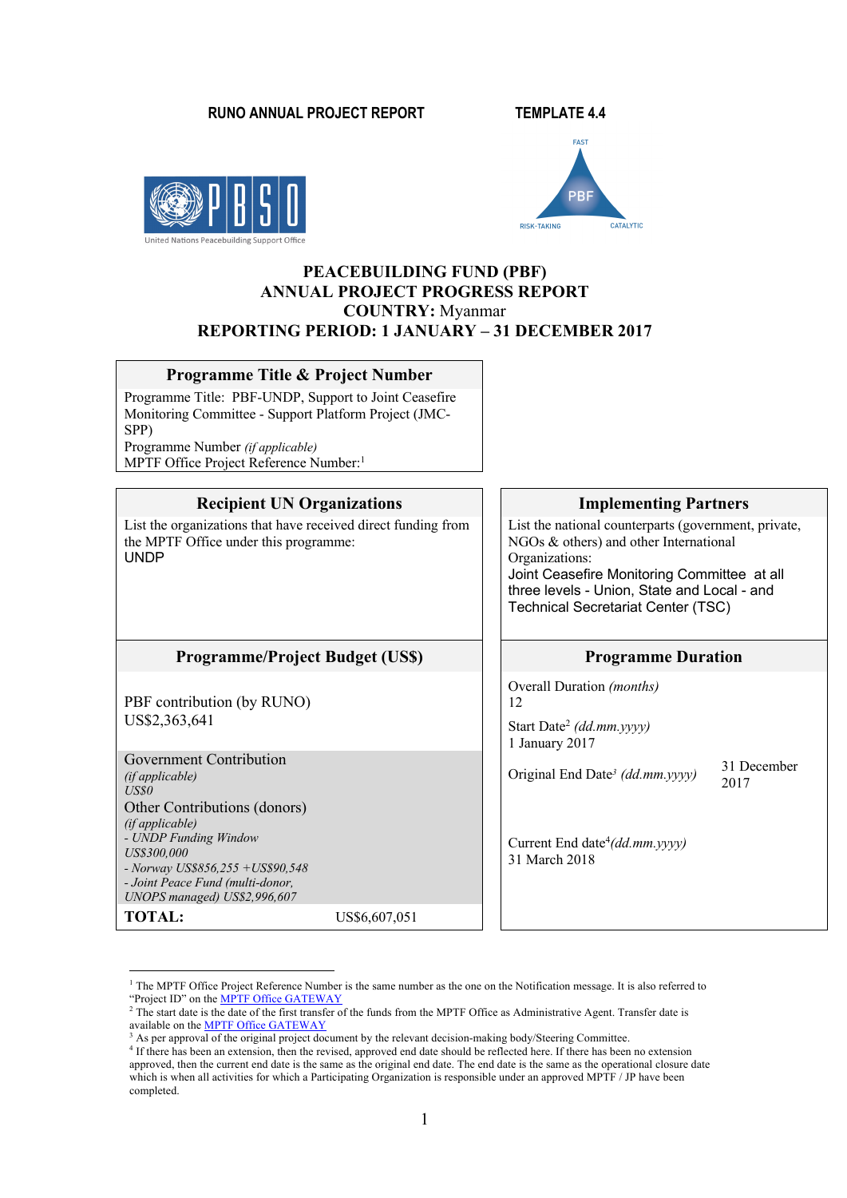#### **RUNO ANNUAL PROJECT REPORT TEMPLATE 4.4**





#### **PEACEBUILDING FUND (PBF) ANNUAL PROJECT PROGRESS REPORT COUNTRY:** Myanmar **REPORTING PERIOD: 1 JANUARY – 31 DECEMBER 2017**

#### **Programme Title & Project Number** Programme Title: PBF-UNDP, Support to Joint Ceasefire Monitoring Committee - Support Platform Project (JMC-SPP) Programme Number *(if applicable)*  MPTF Office Project Reference Number:<sup>1</sup> **Recipient UN Organizations Implementing Partners** List the organizations that have received direct funding from the MPTF Office under this programme: UNDP List the national counterparts (government, private, NGOs & others) and other International Organizations: Joint Ceasefire Monitoring Committee at all three levels - Union, State and Local - and Technical Secretariat Center (TSC) **Programme/Project Budget (US\$)**  $\qquad$  **| Programme Duration** PBF contribution (by RUNO) US\$2,363,641 Overall Duration *(months)* 12 Start Date2 *(dd.mm.yyyy)* 1 January 2017 Government Contribution *(if applicable) US\$0* Original End Date*<sup>3</sup> (dd.mm.yyyy)* 31 December 2017 Other Contributions (donors) *(if applicable) - UNDP Funding Window US\$300,000 - Norway US\$856,255 +US\$90,548 - Joint Peace Fund (multi-donor, UNOPS managed) US\$2,996,607* Current End date4 *(dd.mm.yyyy)* 31 March 2018 **TOTAL:** US\$6,607,051

<sup>&</sup>lt;sup>1</sup> The MPTF Office Project Reference Number is the same number as the one on the Notification message. It is also referred to "Project ID" on the MPTF Office GATEWAY

<sup>&</sup>lt;sup>2</sup> The start date is the date of the first transfer of the funds from the MPTF Office as Administrative Agent. Transfer date is available on the MPTF Office GATEWAY

<sup>&</sup>lt;sup>3</sup> As per approval of the original project document by the relevant decision-making body/Steering Committee.

<sup>4</sup> If there has been an extension, then the revised, approved end date should be reflected here. If there has been no extension approved, then the current end date is the same as the original end date. The end date is the same as the operational closure date which is when all activities for which a Participating Organization is responsible under an approved MPTF / JP have been completed.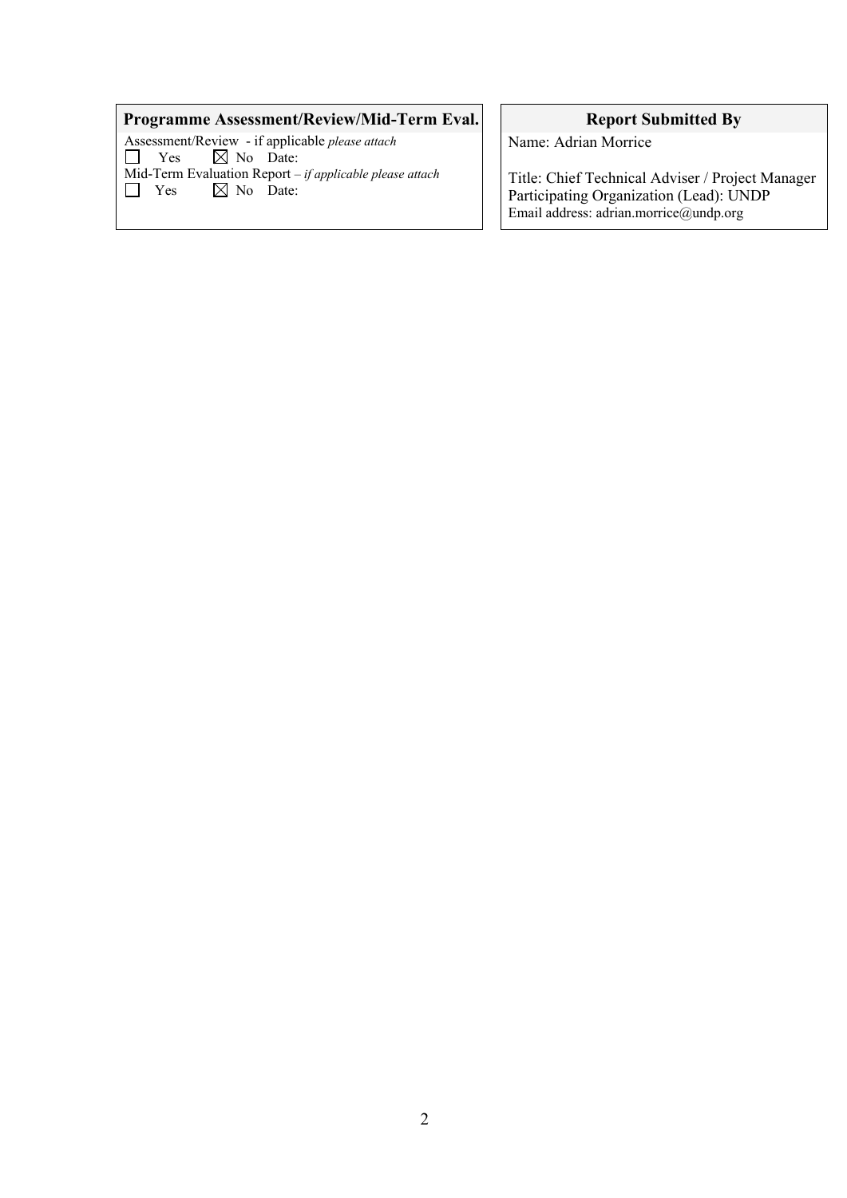# **Programme Assessment/Review/Mid-Term Eval. Report Submitted By**

Assessment/Review - if applicable *please attach* Yes  $\boxtimes$  No Date: Mid-Term Evaluation Report – *if applicable please attach*  $\Box$  Yes  $\Box$  No Date:  $\boxtimes$  No Date:

Name: Adrian Morrice

Title: Chief Technical Adviser / Project Manager Participating Organization (Lead): UNDP Email address: adrian.morrice@undp.org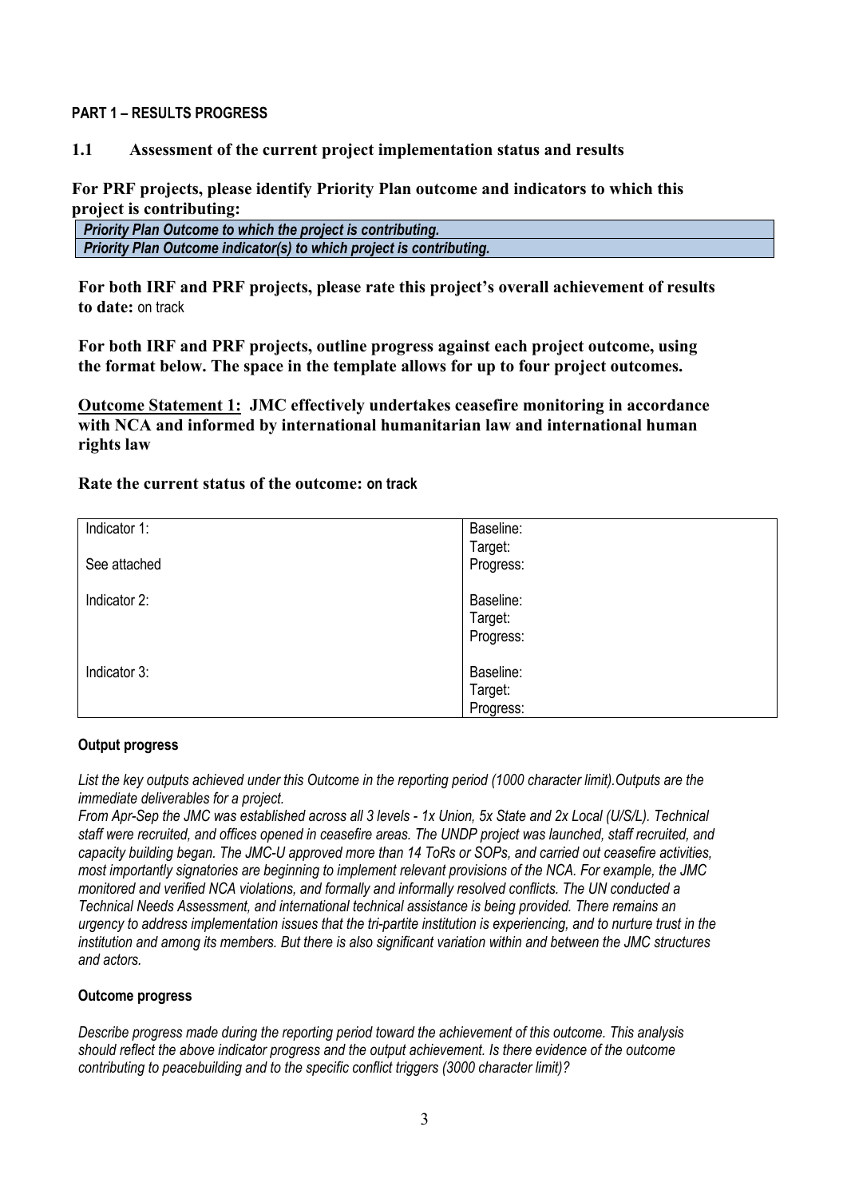### **PART 1 – RESULTS PROGRESS**

## **1.1 Assessment of the current project implementation status and results**

## **For PRF projects, please identify Priority Plan outcome and indicators to which this project is contributing:**

| Priority Plan Outcome to which the project is contributing. |                                                                      |
|-------------------------------------------------------------|----------------------------------------------------------------------|
|                                                             | Priority Plan Outcome indicator(s) to which project is contributing. |

**For both IRF and PRF projects, please rate this project's overall achievement of results to date:** on track

**For both IRF and PRF projects, outline progress against each project outcome, using the format below. The space in the template allows for up to four project outcomes.**

**Outcome Statement 1: JMC effectively undertakes ceasefire monitoring in accordance with NCA and informed by international humanitarian law and international human rights law**

### **Rate the current status of the outcome: on track**

| Indicator 1: | Baseline: |
|--------------|-----------|
|              | Target:   |
| See attached | Progress: |
|              |           |
| Indicator 2: | Baseline: |
|              | Target:   |
|              | Progress: |
|              |           |
| Indicator 3: | Baseline: |
|              | Target:   |
|              | Progress: |

### **Output progress**

*List the key outputs achieved under this Outcome in the reporting period (1000 character limit).Outputs are the immediate deliverables for a project.*

*From Apr-Sep the JMC was established across all 3 levels - 1x Union, 5x State and 2x Local (U/S/L). Technical staff were recruited, and offices opened in ceasefire areas. The UNDP project was launched, staff recruited, and capacity building began. The JMC-U approved more than 14 ToRs or SOPs, and carried out ceasefire activities, most importantly signatories are beginning to implement relevant provisions of the NCA. For example, the JMC monitored and verified NCA violations, and formally and informally resolved conflicts. The UN conducted a Technical Needs Assessment, and international technical assistance is being provided. There remains an urgency to address implementation issues that the tri-partite institution is experiencing, and to nurture trust in the institution and among its members. But there is also significant variation within and between the JMC structures and actors.* 

### **Outcome progress**

*Describe progress made during the reporting period toward the achievement of this outcome. This analysis should reflect the above indicator progress and the output achievement. Is there evidence of the outcome contributing to peacebuilding and to the specific conflict triggers (3000 character limit)?*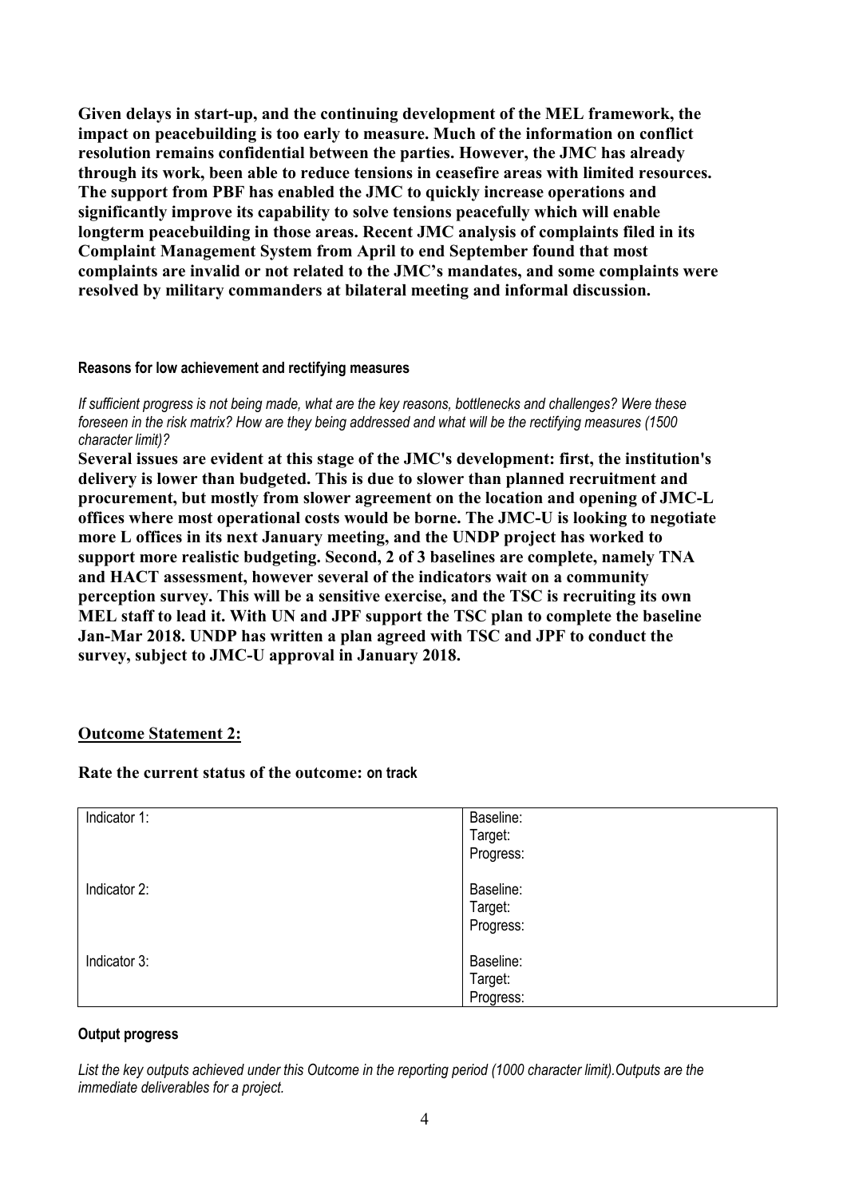**Given delays in start-up, and the continuing development of the MEL framework, the impact on peacebuilding is too early to measure. Much of the information on conflict resolution remains confidential between the parties. However, the JMC has already through its work, been able to reduce tensions in ceasefire areas with limited resources. The support from PBF has enabled the JMC to quickly increase operations and significantly improve its capability to solve tensions peacefully which will enable longterm peacebuilding in those areas. Recent JMC analysis of complaints filed in its Complaint Management System from April to end September found that most complaints are invalid or not related to the JMC's mandates, and some complaints were resolved by military commanders at bilateral meeting and informal discussion.** 

#### **Reasons for low achievement and rectifying measures**

*If sufficient progress is not being made, what are the key reasons, bottlenecks and challenges? Were these foreseen in the risk matrix? How are they being addressed and what will be the rectifying measures (1500 character limit)?*

**Several issues are evident at this stage of the JMC's development: first, the institution's delivery is lower than budgeted. This is due to slower than planned recruitment and procurement, but mostly from slower agreement on the location and opening of JMC-L offices where most operational costs would be borne. The JMC-U is looking to negotiate more L offices in its next January meeting, and the UNDP project has worked to support more realistic budgeting. Second, 2 of 3 baselines are complete, namely TNA and HACT assessment, however several of the indicators wait on a community perception survey. This will be a sensitive exercise, and the TSC is recruiting its own MEL staff to lead it. With UN and JPF support the TSC plan to complete the baseline Jan-Mar 2018. UNDP has written a plan agreed with TSC and JPF to conduct the survey, subject to JMC-U approval in January 2018.** 

#### **Outcome Statement 2:**

#### **Rate the current status of the outcome: on track**

| Indicator 1: | Baseline:<br>Target:<br>Progress: |
|--------------|-----------------------------------|
| Indicator 2: | Baseline:<br>Target:<br>Progress: |
| Indicator 3: | Baseline:<br>Target:<br>Progress: |

### **Output progress**

*List the key outputs achieved under this Outcome in the reporting period (1000 character limit).Outputs are the immediate deliverables for a project.*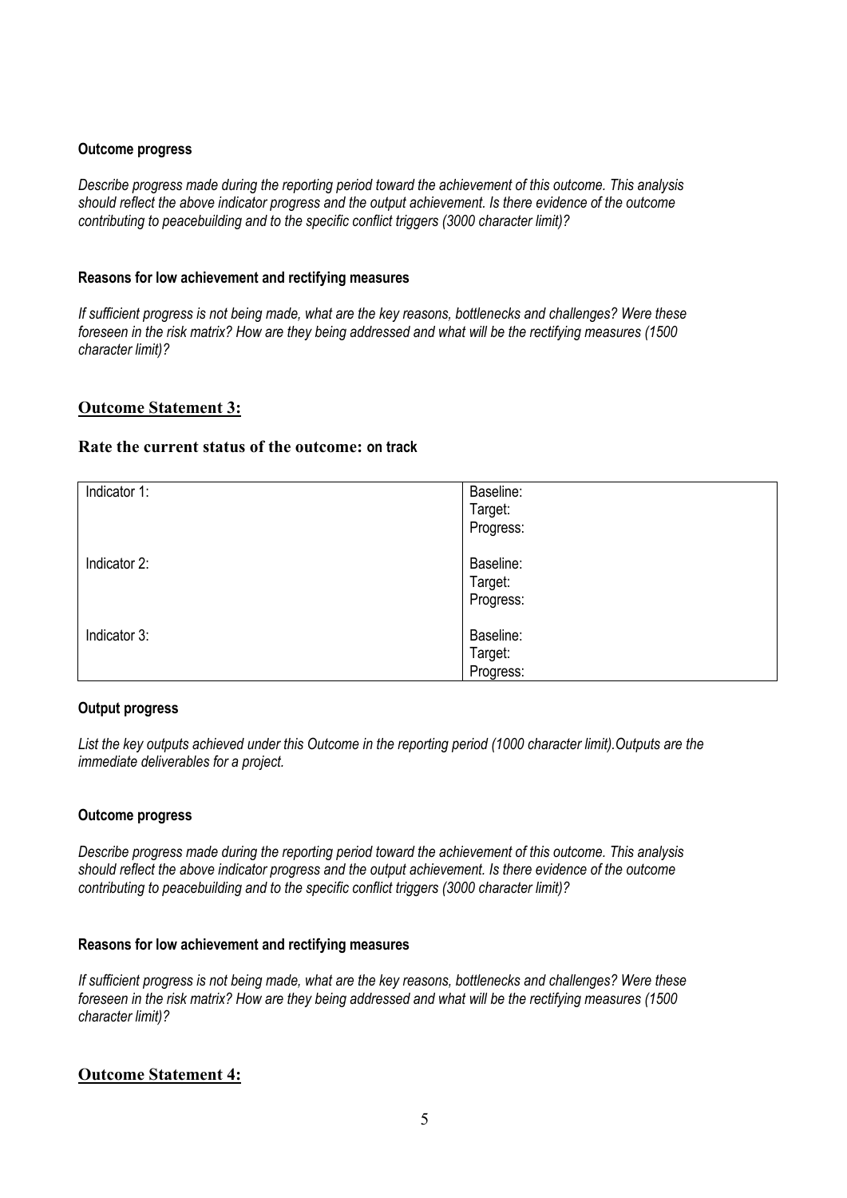#### **Outcome progress**

*Describe progress made during the reporting period toward the achievement of this outcome. This analysis should reflect the above indicator progress and the output achievement. Is there evidence of the outcome contributing to peacebuilding and to the specific conflict triggers (3000 character limit)?* 

#### **Reasons for low achievement and rectifying measures**

*If sufficient progress is not being made, what are the key reasons, bottlenecks and challenges? Were these foreseen in the risk matrix? How are they being addressed and what will be the rectifying measures (1500 character limit)?*

### **Outcome Statement 3:**

#### **Rate the current status of the outcome: on track**

| Indicator 1: | Baseline:<br>Target:<br>Progress: |
|--------------|-----------------------------------|
| Indicator 2: | Baseline:<br>Target:<br>Progress: |
| Indicator 3: | Baseline:<br>Target:<br>Progress: |

### **Output progress**

*List the key outputs achieved under this Outcome in the reporting period (1000 character limit).Outputs are the immediate deliverables for a project.*

### **Outcome progress**

*Describe progress made during the reporting period toward the achievement of this outcome. This analysis should reflect the above indicator progress and the output achievement. Is there evidence of the outcome contributing to peacebuilding and to the specific conflict triggers (3000 character limit)?* 

#### **Reasons for low achievement and rectifying measures**

*If sufficient progress is not being made, what are the key reasons, bottlenecks and challenges? Were these foreseen in the risk matrix? How are they being addressed and what will be the rectifying measures (1500 character limit)?*

# **Outcome Statement 4:**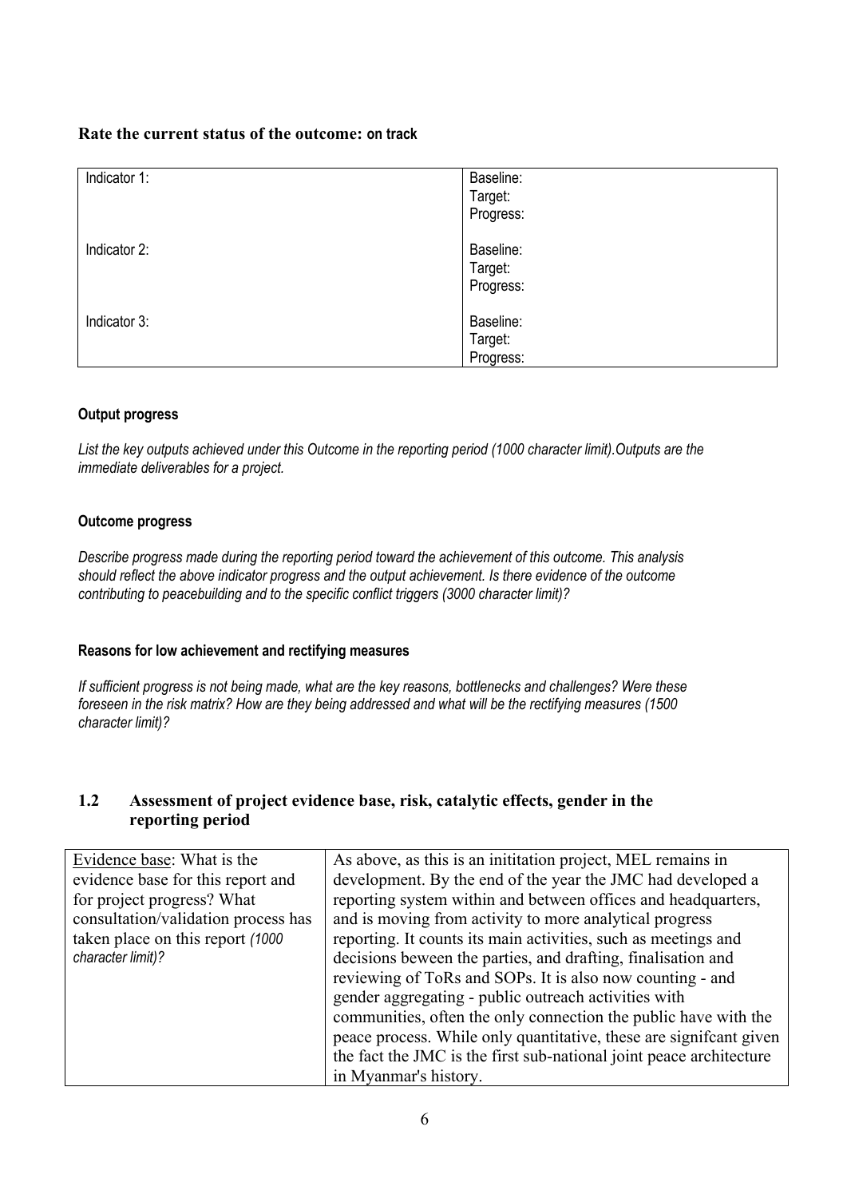#### **Rate the current status of the outcome: on track**

| Indicator 1: | Baseline:<br>Target:<br>Progress: |
|--------------|-----------------------------------|
| Indicator 2: | Baseline:<br>Target:<br>Progress: |
| Indicator 3: | Baseline:<br>Target:<br>Progress: |

### **Output progress**

*List the key outputs achieved under this Outcome in the reporting period (1000 character limit).Outputs are the immediate deliverables for a project.*

#### **Outcome progress**

*Describe progress made during the reporting period toward the achievement of this outcome. This analysis should reflect the above indicator progress and the output achievement. Is there evidence of the outcome contributing to peacebuilding and to the specific conflict triggers (3000 character limit)?* 

#### **Reasons for low achievement and rectifying measures**

*If sufficient progress is not being made, what are the key reasons, bottlenecks and challenges? Were these foreseen in the risk matrix? How are they being addressed and what will be the rectifying measures (1500 character limit)?*

## **1.2 Assessment of project evidence base, risk, catalytic effects, gender in the reporting period**

| Evidence base: What is the          | As above, as this is an inititation project, MEL remains in         |  |  |
|-------------------------------------|---------------------------------------------------------------------|--|--|
| evidence base for this report and   | development. By the end of the year the JMC had developed a         |  |  |
| for project progress? What          | reporting system within and between offices and headquarters,       |  |  |
| consultation/validation process has | and is moving from activity to more analytical progress             |  |  |
| taken place on this report (1000)   | reporting. It counts its main activities, such as meetings and      |  |  |
| character limit)?                   | decisions beween the parties, and drafting, finalisation and        |  |  |
|                                     | reviewing of ToRs and SOPs. It is also now counting - and           |  |  |
|                                     | gender aggregating - public outreach activities with                |  |  |
|                                     | communities, often the only connection the public have with the     |  |  |
|                                     | peace process. While only quantitative, these are significant given |  |  |
|                                     | the fact the JMC is the first sub-national joint peace architecture |  |  |
|                                     | in Myanmar's history.                                               |  |  |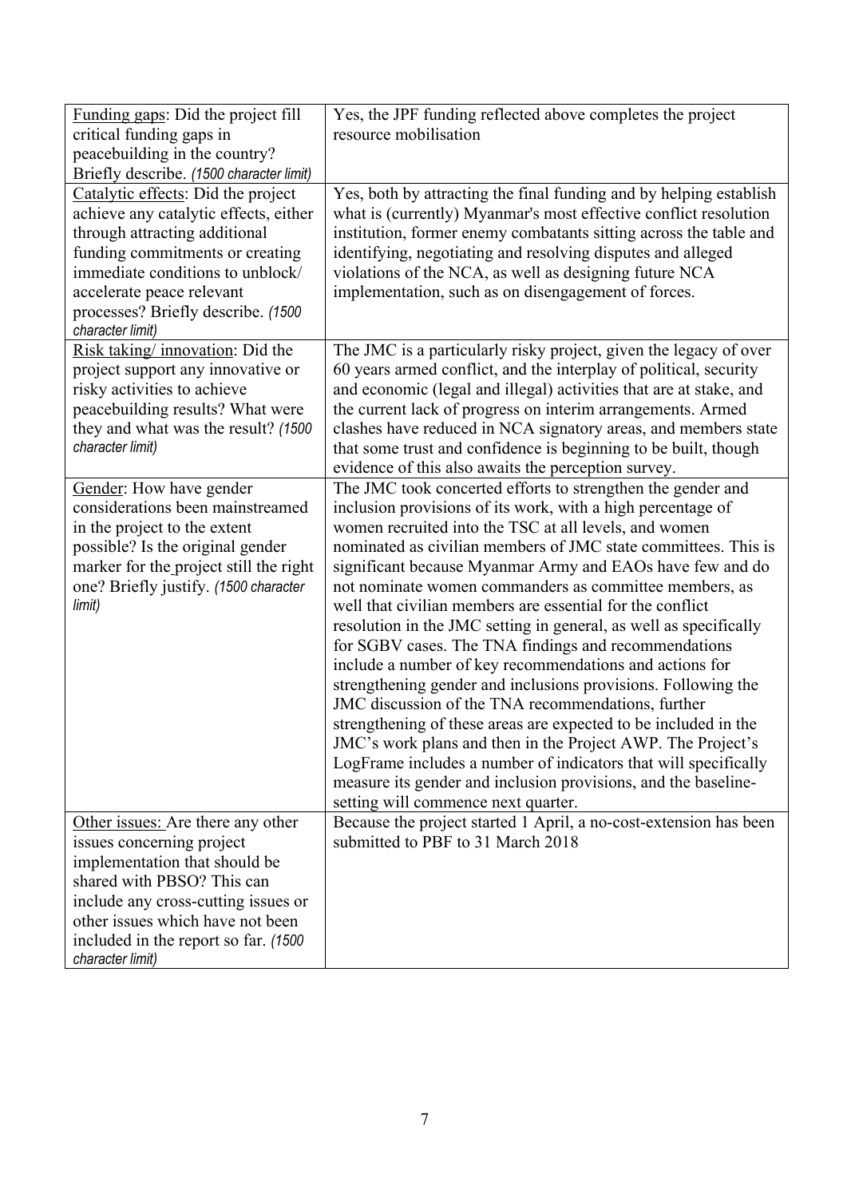| Funding gaps: Did the project fill       | Yes, the JPF funding reflected above completes the project         |
|------------------------------------------|--------------------------------------------------------------------|
| critical funding gaps in                 | resource mobilisation                                              |
| peacebuilding in the country?            |                                                                    |
| Briefly describe. (1500 character limit) |                                                                    |
| Catalytic effects: Did the project       | Yes, both by attracting the final funding and by helping establish |
| achieve any catalytic effects, either    | what is (currently) Myanmar's most effective conflict resolution   |
| through attracting additional            | institution, former enemy combatants sitting across the table and  |
| funding commitments or creating          | identifying, negotiating and resolving disputes and alleged        |
| immediate conditions to unblock/         | violations of the NCA, as well as designing future NCA             |
| accelerate peace relevant                | implementation, such as on disengagement of forces.                |
| processes? Briefly describe. (1500       |                                                                    |
| character limit)                         |                                                                    |
| Risk taking/innovation: Did the          | The JMC is a particularly risky project, given the legacy of over  |
| project support any innovative or        | 60 years armed conflict, and the interplay of political, security  |
| risky activities to achieve              | and economic (legal and illegal) activities that are at stake, and |
| peacebuilding results? What were         | the current lack of progress on interim arrangements. Armed        |
| they and what was the result? (1500      | clashes have reduced in NCA signatory areas, and members state     |
| character limit)                         | that some trust and confidence is beginning to be built, though    |
|                                          | evidence of this also awaits the perception survey.                |
| Gender: How have gender                  | The JMC took concerted efforts to strengthen the gender and        |
| considerations been mainstreamed         | inclusion provisions of its work, with a high percentage of        |
| in the project to the extent             | women recruited into the TSC at all levels, and women              |
| possible? Is the original gender         | nominated as civilian members of JMC state committees. This is     |
| marker for the project still the right   | significant because Myanmar Army and EAOs have few and do          |
| one? Briefly justify. (1500 character    | not nominate women commanders as committee members, as             |
| limit)                                   | well that civilian members are essential for the conflict          |
|                                          | resolution in the JMC setting in general, as well as specifically  |
|                                          | for SGBV cases. The TNA findings and recommendations               |
|                                          | include a number of key recommendations and actions for            |
|                                          | strengthening gender and inclusions provisions. Following the      |
|                                          | JMC discussion of the TNA recommendations, further                 |
|                                          | strengthening of these areas are expected to be included in the    |
|                                          | JMC's work plans and then in the Project AWP. The Project's        |
|                                          | LogFrame includes a number of indicators that will specifically    |
|                                          | measure its gender and inclusion provisions, and the baseline-     |
|                                          | setting will commence next quarter.                                |
| Other issues: Are there any other        | Because the project started 1 April, a no-cost-extension has been  |
| issues concerning project                | submitted to PBF to 31 March 2018                                  |
| implementation that should be            |                                                                    |
| shared with PBSO? This can               |                                                                    |
| include any cross-cutting issues or      |                                                                    |
| other issues which have not been         |                                                                    |
| included in the report so far. (1500)    |                                                                    |
| character limit)                         |                                                                    |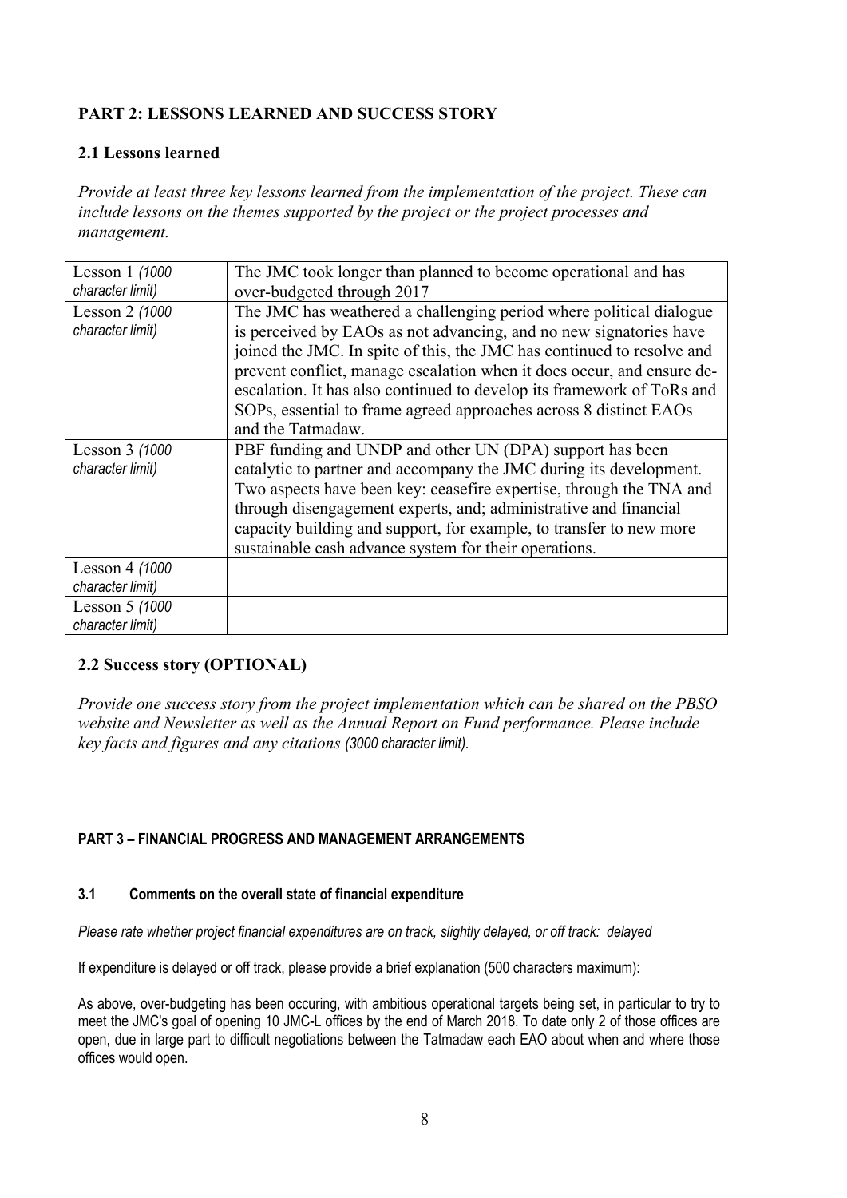# **PART 2: LESSONS LEARNED AND SUCCESS STORY**

# **2.1 Lessons learned**

*Provide at least three key lessons learned from the implementation of the project. These can include lessons on the themes supported by the project or the project processes and management.*

| Lesson 1 (1000   | The JMC took longer than planned to become operational and has         |
|------------------|------------------------------------------------------------------------|
| character limit) | over-budgeted through 2017                                             |
| Lesson 2 (1000   | The JMC has weathered a challenging period where political dialogue    |
| character limit) | is perceived by EAOs as not advancing, and no new signatories have     |
|                  | joined the JMC. In spite of this, the JMC has continued to resolve and |
|                  | prevent conflict, manage escalation when it does occur, and ensure de- |
|                  | escalation. It has also continued to develop its framework of ToRs and |
|                  | SOPs, essential to frame agreed approaches across 8 distinct EAOs      |
|                  | and the Tatmadaw.                                                      |
| Lesson 3 (1000   | PBF funding and UNDP and other UN (DPA) support has been               |
| character limit) | catalytic to partner and accompany the JMC during its development.     |
|                  | Two aspects have been key: ceasefire expertise, through the TNA and    |
|                  | through disengagement experts, and; administrative and financial       |
|                  | capacity building and support, for example, to transfer to new more    |
|                  | sustainable cash advance system for their operations.                  |
| Lesson 4 (1000)  |                                                                        |
| character limit) |                                                                        |
| Lesson 5 (1000   |                                                                        |
| character limit) |                                                                        |

# **2.2 Success story (OPTIONAL)**

*Provide one success story from the project implementation which can be shared on the PBSO website and Newsletter as well as the Annual Report on Fund performance. Please include key facts and figures and any citations (3000 character limit).*

# **PART 3** *–* **FINANCIAL PROGRESS AND MANAGEMENT ARRANGEMENTS**

### **3.1 Comments on the overall state of financial expenditure**

*Please rate whether project financial expenditures are on track, slightly delayed, or off track: delayed*

If expenditure is delayed or off track, please provide a brief explanation (500 characters maximum):

As above, over-budgeting has been occuring, with ambitious operational targets being set, in particular to try to meet the JMC's goal of opening 10 JMC-L offices by the end of March 2018. To date only 2 of those offices are open, due in large part to difficult negotiations between the Tatmadaw each EAO about when and where those offices would open.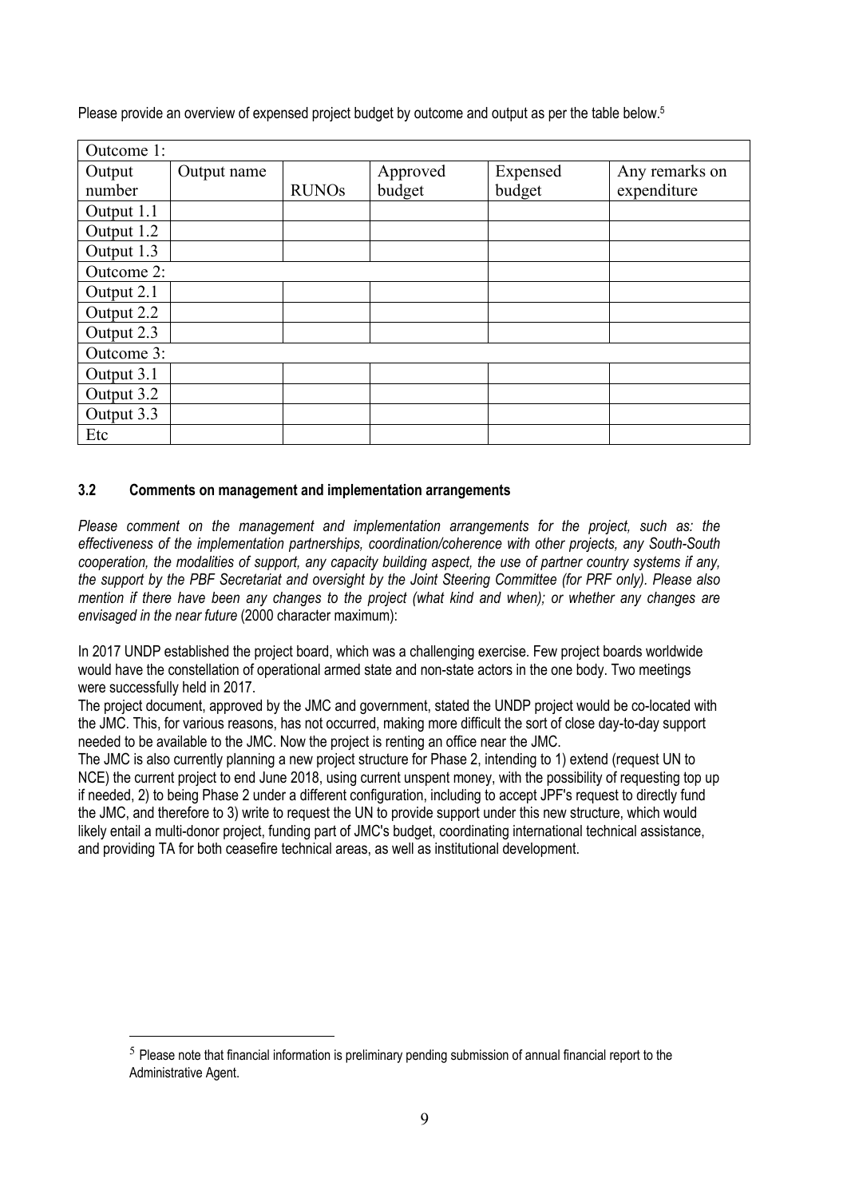Please provide an overview of expensed project budget by outcome and output as per the table below.<sup>5</sup>

| Outcome 1: |             |              |          |          |                |  |  |
|------------|-------------|--------------|----------|----------|----------------|--|--|
| Output     | Output name |              | Approved | Expensed | Any remarks on |  |  |
| number     |             | <b>RUNOs</b> | budget   | budget   | expenditure    |  |  |
| Output 1.1 |             |              |          |          |                |  |  |
| Output 1.2 |             |              |          |          |                |  |  |
| Output 1.3 |             |              |          |          |                |  |  |
| Outcome 2: |             |              |          |          |                |  |  |
| Output 2.1 |             |              |          |          |                |  |  |
| Output 2.2 |             |              |          |          |                |  |  |
| Output 2.3 |             |              |          |          |                |  |  |
| Outcome 3: |             |              |          |          |                |  |  |
| Output 3.1 |             |              |          |          |                |  |  |
| Output 3.2 |             |              |          |          |                |  |  |
| Output 3.3 |             |              |          |          |                |  |  |
| Etc        |             |              |          |          |                |  |  |

# **3.2 Comments on management and implementation arrangements**

*Please comment on the management and implementation arrangements for the project, such as: the effectiveness of the implementation partnerships, coordination/coherence with other projects, any South-South cooperation, the modalities of support, any capacity building aspect, the use of partner country systems if any, the support by the PBF Secretariat and oversight by the Joint Steering Committee (for PRF only). Please also mention if there have been any changes to the project (what kind and when); or whether any changes are envisaged in the near future* (2000 character maximum):

In 2017 UNDP established the project board, which was a challenging exercise. Few project boards worldwide would have the constellation of operational armed state and non-state actors in the one body. Two meetings were successfully held in 2017.

The project document, approved by the JMC and government, stated the UNDP project would be co-located with the JMC. This, for various reasons, has not occurred, making more difficult the sort of close day-to-day support needed to be available to the JMC. Now the project is renting an office near the JMC.

The JMC is also currently planning a new project structure for Phase 2, intending to 1) extend (request UN to NCE) the current project to end June 2018, using current unspent money, with the possibility of requesting top up if needed, 2) to being Phase 2 under a different configuration, including to accept JPF's request to directly fund the JMC, and therefore to 3) write to request the UN to provide support under this new structure, which would likely entail a multi-donor project, funding part of JMC's budget, coordinating international technical assistance, and providing TA for both ceasefire technical areas, as well as institutional development.

 $<sup>5</sup>$  Please note that financial information is preliminary pending submission of annual financial report to the</sup> Administrative Agent.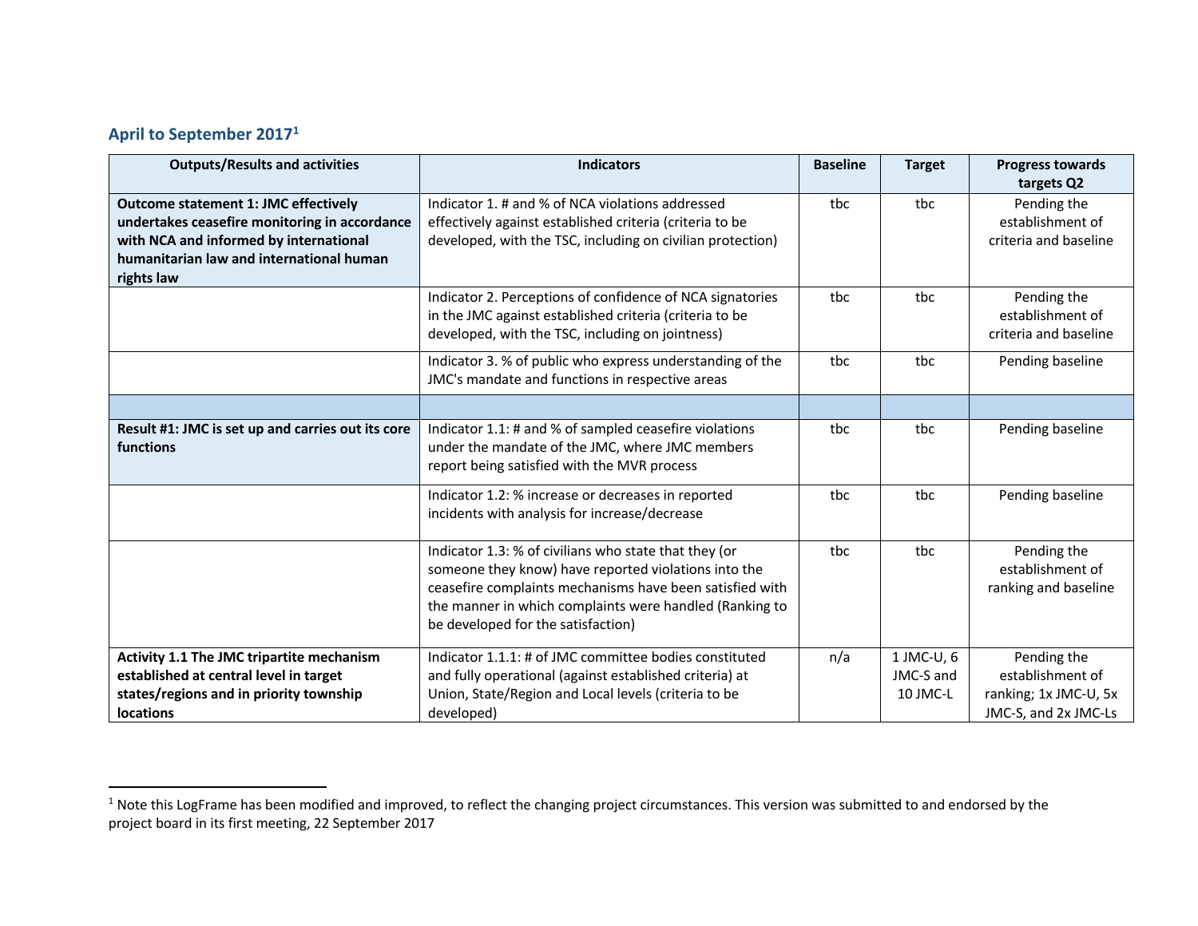# **April to September 20171**

| <b>Outputs/Results and activities</b>                                                                                                                                                            | <b>Indicators</b>                                                                                                                                                                                                                                                          | <b>Baseline</b> | <b>Target</b>                       | <b>Progress towards</b><br>targets Q2                                            |
|--------------------------------------------------------------------------------------------------------------------------------------------------------------------------------------------------|----------------------------------------------------------------------------------------------------------------------------------------------------------------------------------------------------------------------------------------------------------------------------|-----------------|-------------------------------------|----------------------------------------------------------------------------------|
| <b>Outcome statement 1: JMC effectively</b><br>undertakes ceasefire monitoring in accordance<br>with NCA and informed by international<br>humanitarian law and international human<br>rights law | Indicator 1. # and % of NCA violations addressed<br>effectively against established criteria (criteria to be<br>developed, with the TSC, including on civilian protection)                                                                                                 | tbc             | tbc                                 | Pending the<br>establishment of<br>criteria and baseline                         |
|                                                                                                                                                                                                  | Indicator 2. Perceptions of confidence of NCA signatories<br>in the JMC against established criteria (criteria to be<br>developed, with the TSC, including on jointness)                                                                                                   | tbc             | tbc                                 | Pending the<br>establishment of<br>criteria and baseline                         |
|                                                                                                                                                                                                  | Indicator 3. % of public who express understanding of the<br>JMC's mandate and functions in respective areas                                                                                                                                                               | tbc             | tbc                                 | Pending baseline                                                                 |
|                                                                                                                                                                                                  |                                                                                                                                                                                                                                                                            |                 |                                     |                                                                                  |
| Result #1: JMC is set up and carries out its core<br>functions                                                                                                                                   | Indicator 1.1: # and % of sampled ceasefire violations<br>under the mandate of the JMC, where JMC members<br>report being satisfied with the MVR process                                                                                                                   | tbc             | tbc                                 | Pending baseline                                                                 |
|                                                                                                                                                                                                  | Indicator 1.2: % increase or decreases in reported<br>incidents with analysis for increase/decrease                                                                                                                                                                        | tbc             | tbc                                 | Pending baseline                                                                 |
|                                                                                                                                                                                                  | Indicator 1.3: % of civilians who state that they (or<br>someone they know) have reported violations into the<br>ceasefire complaints mechanisms have been satisfied with<br>the manner in which complaints were handled (Ranking to<br>be developed for the satisfaction) | tbc             | tbc                                 | Pending the<br>establishment of<br>ranking and baseline                          |
| Activity 1.1 The JMC tripartite mechanism<br>established at central level in target<br>states/regions and in priority township<br><b>locations</b>                                               | Indicator 1.1.1: # of JMC committee bodies constituted<br>and fully operational (against established criteria) at<br>Union, State/Region and Local levels (criteria to be<br>developed)                                                                                    | n/a             | 1 JMC-U, 6<br>JMC-S and<br>10 JMC-L | Pending the<br>establishment of<br>ranking; 1x JMC-U, 5x<br>JMC-S, and 2x JMC-Ls |

<sup>&</sup>lt;sup>1</sup> Note this LogFrame has been modified and improved, to reflect the changing project circumstances. This version was submitted to and endorsed by the project board in its first meeting, 22 September 2017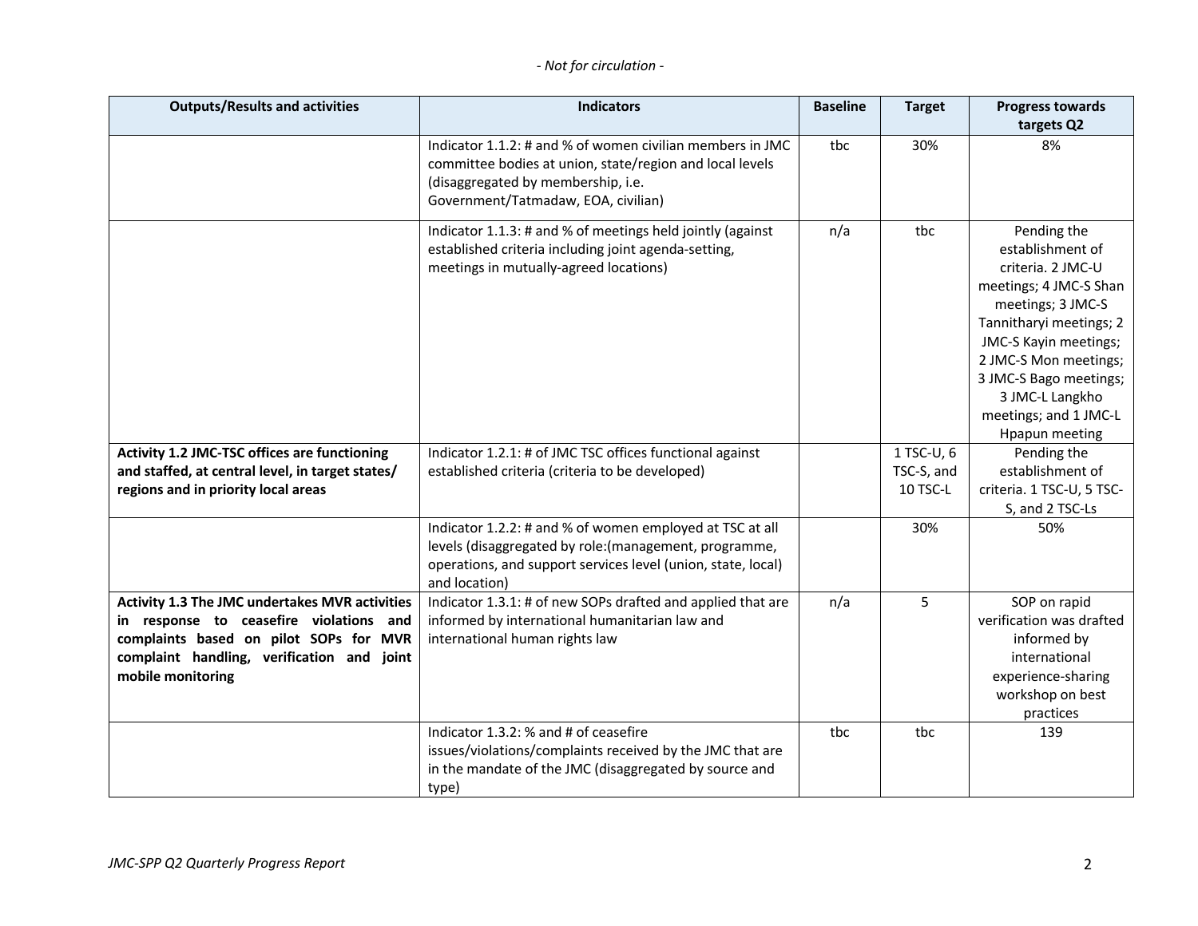#### *- Not for circulation -*

| <b>Outputs/Results and activities</b>                                                                                                                                                                  | <b>Indicators</b>                                                                                                                                                                                   |     | <b>Target</b>                        | <b>Progress towards</b><br>targets Q2                                                                                                                                                                                                                                    |
|--------------------------------------------------------------------------------------------------------------------------------------------------------------------------------------------------------|-----------------------------------------------------------------------------------------------------------------------------------------------------------------------------------------------------|-----|--------------------------------------|--------------------------------------------------------------------------------------------------------------------------------------------------------------------------------------------------------------------------------------------------------------------------|
|                                                                                                                                                                                                        | Indicator 1.1.2: # and % of women civilian members in JMC<br>committee bodies at union, state/region and local levels<br>(disaggregated by membership, i.e.<br>Government/Tatmadaw, EOA, civilian)  | tbc | 30%                                  | 8%                                                                                                                                                                                                                                                                       |
|                                                                                                                                                                                                        | Indicator 1.1.3: # and % of meetings held jointly (against<br>established criteria including joint agenda-setting,<br>meetings in mutually-agreed locations)                                        | n/a | tbc                                  | Pending the<br>establishment of<br>criteria. 2 JMC-U<br>meetings; 4 JMC-S Shan<br>meetings; 3 JMC-S<br>Tannitharyi meetings; 2<br>JMC-S Kayin meetings;<br>2 JMC-S Mon meetings;<br>3 JMC-S Bago meetings;<br>3 JMC-L Langkho<br>meetings; and 1 JMC-L<br>Hpapun meeting |
| Activity 1.2 JMC-TSC offices are functioning<br>and staffed, at central level, in target states/<br>regions and in priority local areas                                                                | Indicator 1.2.1: # of JMC TSC offices functional against<br>established criteria (criteria to be developed)                                                                                         |     | 1 TSC-U, 6<br>TSC-S, and<br>10 TSC-L | Pending the<br>establishment of<br>criteria. 1 TSC-U, 5 TSC-<br>S, and 2 TSC-Ls                                                                                                                                                                                          |
|                                                                                                                                                                                                        | Indicator 1.2.2: # and % of women employed at TSC at all<br>levels (disaggregated by role: (management, programme,<br>operations, and support services level (union, state, local)<br>and location) |     | 30%                                  | 50%                                                                                                                                                                                                                                                                      |
| Activity 1.3 The JMC undertakes MVR activities<br>in response to ceasefire violations and<br>complaints based on pilot SOPs for MVR<br>complaint handling, verification and joint<br>mobile monitoring | Indicator 1.3.1: # of new SOPs drafted and applied that are<br>informed by international humanitarian law and<br>international human rights law                                                     | n/a | 5                                    | SOP on rapid<br>verification was drafted<br>informed by<br>international<br>experience-sharing<br>workshop on best<br>practices                                                                                                                                          |
|                                                                                                                                                                                                        | Indicator 1.3.2: % and # of ceasefire<br>issues/violations/complaints received by the JMC that are<br>in the mandate of the JMC (disaggregated by source and<br>type)                               | tbc | tbc                                  | 139                                                                                                                                                                                                                                                                      |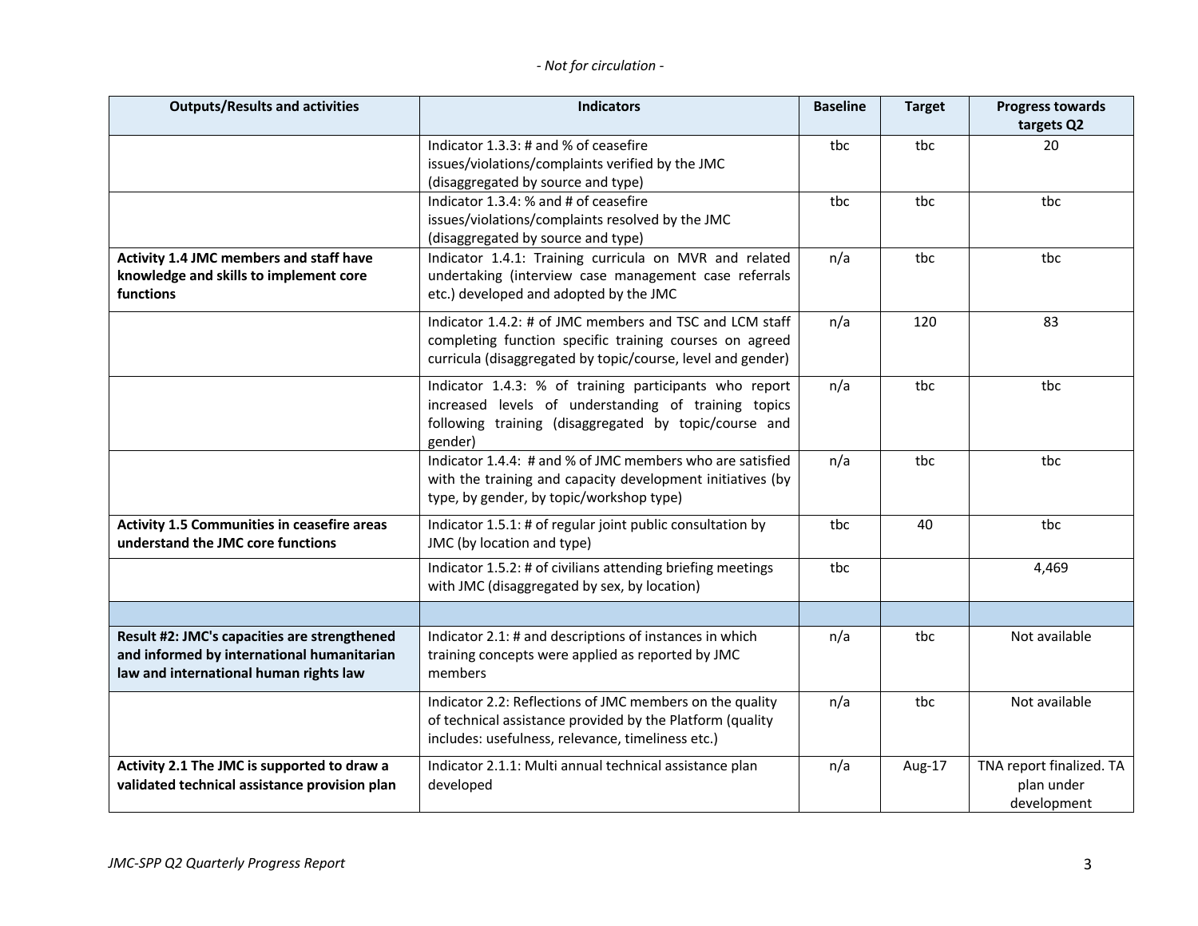#### *- Not for circulation -*

| <b>Outputs/Results and activities</b>                                                                                                | <b>Indicators</b>                                                                                                                                                                  | <b>Baseline</b> | <b>Target</b> | <b>Progress towards</b><br>targets Q2                 |
|--------------------------------------------------------------------------------------------------------------------------------------|------------------------------------------------------------------------------------------------------------------------------------------------------------------------------------|-----------------|---------------|-------------------------------------------------------|
|                                                                                                                                      | Indicator 1.3.3: # and % of ceasefire<br>issues/violations/complaints verified by the JMC<br>(disaggregated by source and type)                                                    | tbc             | tbc           | 20                                                    |
|                                                                                                                                      | Indicator 1.3.4: % and # of ceasefire<br>issues/violations/complaints resolved by the JMC<br>(disaggregated by source and type)                                                    | tbc             | tbc           | tbc                                                   |
| Activity 1.4 JMC members and staff have<br>knowledge and skills to implement core<br>functions                                       | Indicator 1.4.1: Training curricula on MVR and related<br>undertaking (interview case management case referrals<br>etc.) developed and adopted by the JMC                          | n/a             | tbc           | tbc                                                   |
|                                                                                                                                      | Indicator 1.4.2: # of JMC members and TSC and LCM staff<br>completing function specific training courses on agreed<br>curricula (disaggregated by topic/course, level and gender)  | n/a             | 120           | 83                                                    |
|                                                                                                                                      | Indicator 1.4.3: % of training participants who report<br>increased levels of understanding of training topics<br>following training (disaggregated by topic/course and<br>gender) | n/a             | tbc           | tbc                                                   |
|                                                                                                                                      | Indicator 1.4.4: # and % of JMC members who are satisfied<br>with the training and capacity development initiatives (by<br>type, by gender, by topic/workshop type)                | n/a             | tbc           | tbc                                                   |
| Activity 1.5 Communities in ceasefire areas<br>understand the JMC core functions                                                     | Indicator 1.5.1: # of regular joint public consultation by<br>JMC (by location and type)                                                                                           | tbc             | 40            | tbc                                                   |
|                                                                                                                                      | Indicator 1.5.2: # of civilians attending briefing meetings<br>with JMC (disaggregated by sex, by location)                                                                        | tbc             |               | 4,469                                                 |
|                                                                                                                                      |                                                                                                                                                                                    |                 |               |                                                       |
| Result #2: JMC's capacities are strengthened<br>and informed by international humanitarian<br>law and international human rights law | Indicator 2.1: # and descriptions of instances in which<br>training concepts were applied as reported by JMC<br>members                                                            | n/a             | tbc           | Not available                                         |
|                                                                                                                                      | Indicator 2.2: Reflections of JMC members on the quality<br>of technical assistance provided by the Platform (quality<br>includes: usefulness, relevance, timeliness etc.)         | n/a             | tbc           | Not available                                         |
| Activity 2.1 The JMC is supported to draw a<br>validated technical assistance provision plan                                         | Indicator 2.1.1: Multi annual technical assistance plan<br>developed                                                                                                               | n/a             | Aug-17        | TNA report finalized. TA<br>plan under<br>development |